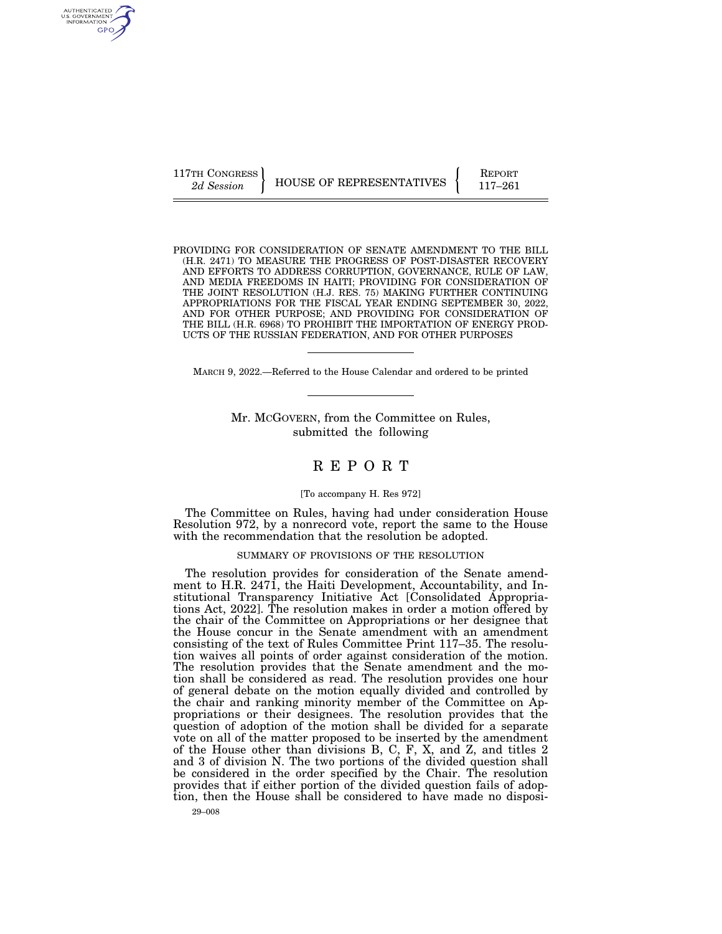AUTHENTICATED U.S. GOVERNMENT GPO

117TH CONGRESS HOUSE OF REPRESENTATIVES **REPORT** 117-261

PROVIDING FOR CONSIDERATION OF SENATE AMENDMENT TO THE BILL (H.R. 2471) TO MEASURE THE PROGRESS OF POST-DISASTER RECOVERY AND EFFORTS TO ADDRESS CORRUPTION, GOVERNANCE, RULE OF LAW, AND MEDIA FREEDOMS IN HAITI; PROVIDING FOR CONSIDERATION OF THE JOINT RESOLUTION (H.J. RES. 75) MAKING FURTHER CONTINUING APPROPRIATIONS FOR THE FISCAL YEAR ENDING SEPTEMBER 30, 2022, AND FOR OTHER PURPOSE; AND PROVIDING FOR CONSIDERATION OF THE BILL (H.R. 6968) TO PROHIBIT THE IMPORTATION OF ENERGY PROD-UCTS OF THE RUSSIAN FEDERATION, AND FOR OTHER PURPOSES

MARCH 9, 2022.—Referred to the House Calendar and ordered to be printed

Mr. MCGOVERN, from the Committee on Rules, submitted the following

## R E P O R T

## [To accompany H. Res 972]

The Committee on Rules, having had under consideration House Resolution 972, by a nonrecord vote, report the same to the House with the recommendation that the resolution be adopted.

## SUMMARY OF PROVISIONS OF THE RESOLUTION

The resolution provides for consideration of the Senate amendment to H.R. 2471, the Haiti Development, Accountability, and Institutional Transparency Initiative Act [Consolidated Appropriations Act, 2022]. The resolution makes in order a motion offered by the chair of the Committee on Appropriations or her designee that the House concur in the Senate amendment with an amendment consisting of the text of Rules Committee Print 117–35. The resolution waives all points of order against consideration of the motion. The resolution provides that the Senate amendment and the motion shall be considered as read. The resolution provides one hour of general debate on the motion equally divided and controlled by the chair and ranking minority member of the Committee on Appropriations or their designees. The resolution provides that the question of adoption of the motion shall be divided for a separate vote on all of the matter proposed to be inserted by the amendment of the House other than divisions B, C, F, X, and Z, and titles 2 and 3 of division N. The two portions of the divided question shall be considered in the order specified by the Chair. The resolution provides that if either portion of the divided question fails of adoption, then the House shall be considered to have made no disposi-

29–008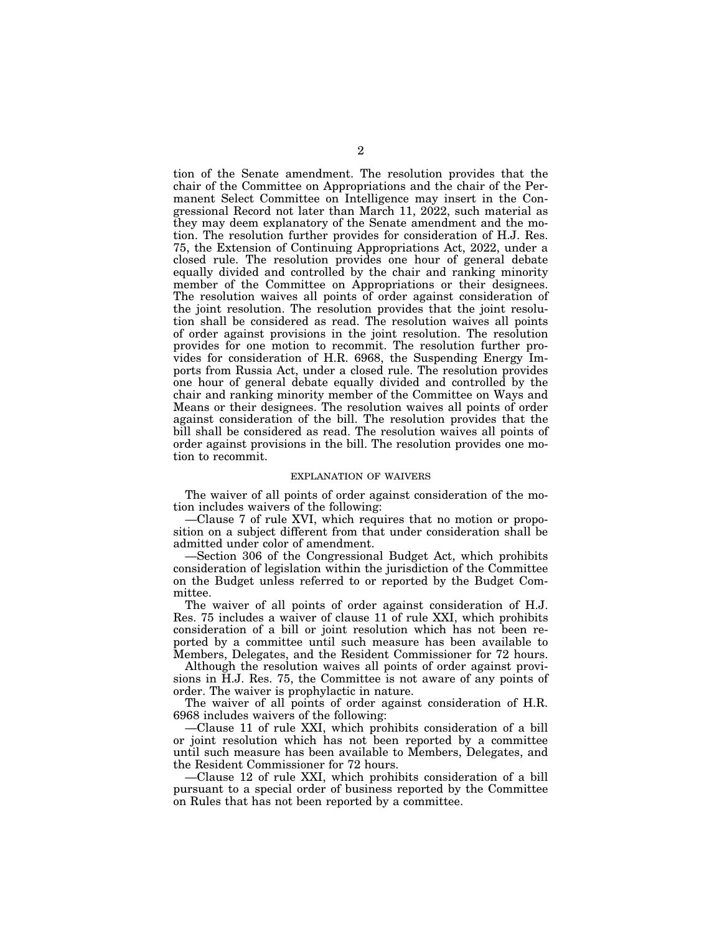tion of the Senate amendment. The resolution provides that the chair of the Committee on Appropriations and the chair of the Permanent Select Committee on Intelligence may insert in the Congressional Record not later than March 11, 2022, such material as they may deem explanatory of the Senate amendment and the motion. The resolution further provides for consideration of H.J. Res. 75, the Extension of Continuing Appropriations Act, 2022, under a closed rule. The resolution provides one hour of general debate equally divided and controlled by the chair and ranking minority member of the Committee on Appropriations or their designees. The resolution waives all points of order against consideration of the joint resolution. The resolution provides that the joint resolution shall be considered as read. The resolution waives all points of order against provisions in the joint resolution. The resolution provides for one motion to recommit. The resolution further provides for consideration of H.R. 6968, the Suspending Energy Imports from Russia Act, under a closed rule. The resolution provides one hour of general debate equally divided and controlled by the chair and ranking minority member of the Committee on Ways and Means or their designees. The resolution waives all points of order against consideration of the bill. The resolution provides that the bill shall be considered as read. The resolution waives all points of order against provisions in the bill. The resolution provides one motion to recommit.

## EXPLANATION OF WAIVERS

The waiver of all points of order against consideration of the motion includes waivers of the following:

—Clause 7 of rule XVI, which requires that no motion or proposition on a subject different from that under consideration shall be admitted under color of amendment.

—Section 306 of the Congressional Budget Act, which prohibits consideration of legislation within the jurisdiction of the Committee on the Budget unless referred to or reported by the Budget Committee.

The waiver of all points of order against consideration of H.J. Res. 75 includes a waiver of clause 11 of rule XXI, which prohibits consideration of a bill or joint resolution which has not been reported by a committee until such measure has been available to Members, Delegates, and the Resident Commissioner for 72 hours.

Although the resolution waives all points of order against provisions in H.J. Res. 75, the Committee is not aware of any points of order. The waiver is prophylactic in nature.

The waiver of all points of order against consideration of H.R. 6968 includes waivers of the following:

—Clause 11 of rule XXI, which prohibits consideration of a bill or joint resolution which has not been reported by a committee until such measure has been available to Members, Delegates, and the Resident Commissioner for 72 hours.

—Clause 12 of rule XXI, which prohibits consideration of a bill pursuant to a special order of business reported by the Committee on Rules that has not been reported by a committee.